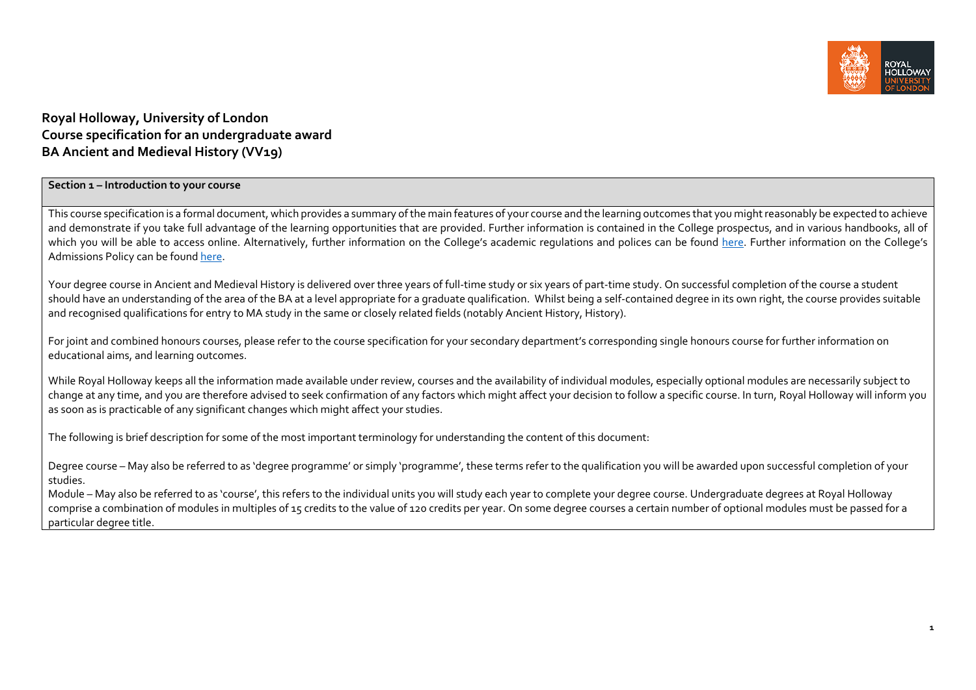

# **Royal Holloway, University of London Course specification for an undergraduate award BA Ancient and Medieval History (VV19)**

## **Section <sup>1</sup> – Introduction to your course**

This course specification is a formal document, which provides a summary of the main features of your course and the learning outcomes that you might reasonably be expected to achieve and demonstrate if you take full advantage of the learning opportunities that are provided. Further information is contained in the College prospectus, and in various handbooks, all of which you will be able to access online. Alternatively, further information on the College's academic regulations and polices can be found <u>here</u>. Further information on the College's Admissions Policy can be found <u>here</u>.

Your degree course in Ancient and Medieval History is delivered over three years of full‐time study or six years of part‐time study. On successful completion of the course <sup>a</sup> student should have an understanding of the area of the BA at <sup>a</sup> level appropriate for <sup>a</sup> graduate qualification. Whilst being <sup>a</sup> self‐contained degree in its own right, the course provides suitable and recognised qualifications for entry to MA study in the same or closely related fields (notably Ancient History, History).

For joint and combined honours courses, please refer to the course specification for your secondary department's corresponding single honours course for further information on educational aims, and learning outcomes.

While Royal Holloway keeps all the information made available under review, courses and the availability of individual modules, especially optional modules are necessarily subject to change at any time, and you are therefore advised to seek confirmation of any factors which might affect your decision to follow <sup>a</sup> specific course. In turn, Royal Holloway will inform you as soon as is practicable of any significant changes which might affect your studies.

The following is brief description for some of the most important terminology for understanding the content of this document:

Degree course – May also be referred to as 'degree programme' or simply 'programme', these terms refer to the qualification you will be awarded upon successful completion of your studies.

Module – May also be referred to as 'course', this refers to the individual units you will study each year to complete your degree course. Undergraduate degrees at Royal Holloway comprise <sup>a</sup> combination of modules in multiples of <sup>15</sup> credits to the value of <sup>120</sup> credits per year. On some degree courses <sup>a</sup> certain number of optional modules must be passed for <sup>a</sup> particular degree title.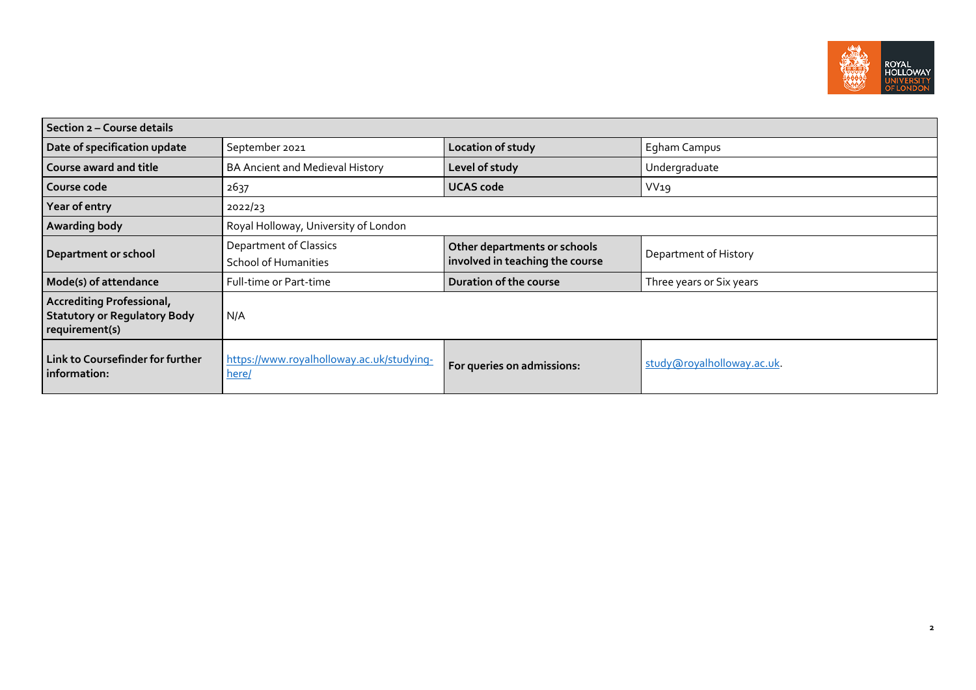

| Section 2 - Course details                                                                |                                                       |                                                                 |                            |  |  |  |
|-------------------------------------------------------------------------------------------|-------------------------------------------------------|-----------------------------------------------------------------|----------------------------|--|--|--|
| Date of specification update                                                              | September 2021                                        | Location of study                                               | Egham Campus               |  |  |  |
| Course award and title                                                                    | BA Ancient and Medieval History                       | Level of study                                                  | Undergraduate              |  |  |  |
| Course code                                                                               | 2637                                                  | <b>UCAS code</b>                                                | VV19                       |  |  |  |
| Year of entry                                                                             | 2022/23                                               |                                                                 |                            |  |  |  |
| Awarding body                                                                             | Royal Holloway, University of London                  |                                                                 |                            |  |  |  |
| Department or school                                                                      | <b>Department of Classics</b><br>School of Humanities | Other departments or schools<br>involved in teaching the course | Department of History      |  |  |  |
| Mode(s) of attendance                                                                     | Full-time or Part-time                                | Duration of the course                                          | Three years or Six years   |  |  |  |
| <b>Accrediting Professional,</b><br><b>Statutory or Regulatory Body</b><br>requirement(s) | N/A                                                   |                                                                 |                            |  |  |  |
| Link to Coursefinder for further<br>information:                                          | https://www.royalholloway.ac.uk/studying-<br>here/    | For queries on admissions:                                      | study@royalholloway.ac.uk. |  |  |  |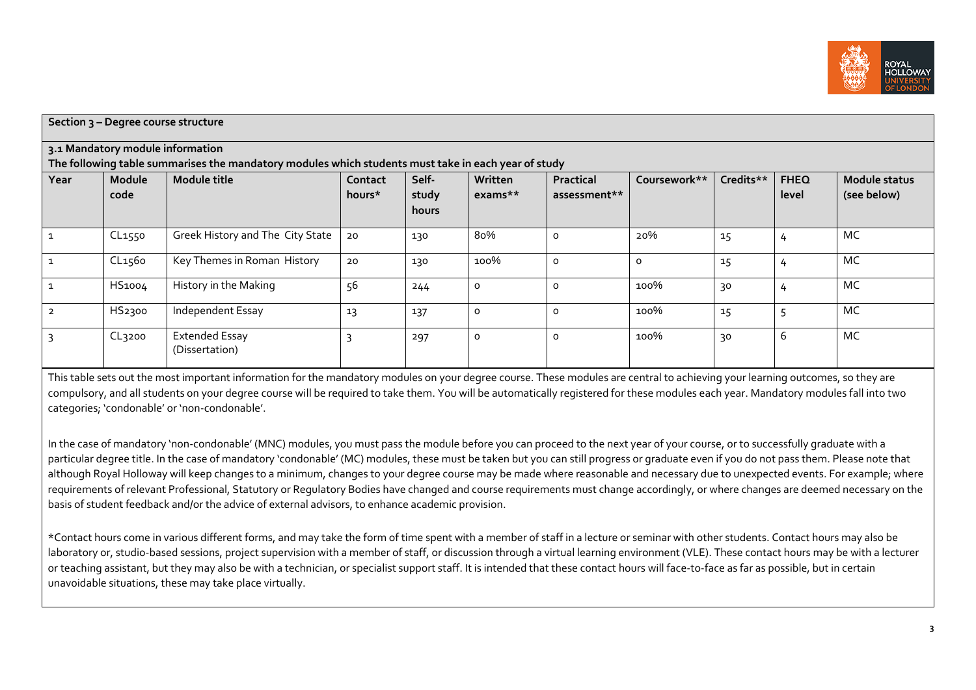

| Section 3 - Degree course structure                                                                                                     |                    |                                         |                   |                         |                      |                           |              |           |                      |                              |
|-----------------------------------------------------------------------------------------------------------------------------------------|--------------------|-----------------------------------------|-------------------|-------------------------|----------------------|---------------------------|--------------|-----------|----------------------|------------------------------|
| 3.1 Mandatory module information<br>The following table summarises the mandatory modules which students must take in each year of study |                    |                                         |                   |                         |                      |                           |              |           |                      |                              |
| Year                                                                                                                                    | Module<br>code     | Module title                            | Contact<br>hours* | Self-<br>study<br>hours | Written<br>$exams**$ | Practical<br>assessment** | Coursework** | Credits** | <b>FHEQ</b><br>level | Module status<br>(see below) |
|                                                                                                                                         | CL1550             | Greek History and The City State        | 20                | 130                     | 80%                  | $\Omega$                  | 20%          | 15        | 4                    | MC                           |
|                                                                                                                                         | CL1560             | Key Themes in Roman History             | 20                | 130                     | 100%                 | $\circ$                   | $\Omega$     | 15        | 4                    | MC                           |
|                                                                                                                                         | HS1004             | History in the Making                   | 56                | 244                     | $\circ$              | $\Omega$                  | 100%         | 30        | 4                    | MC                           |
|                                                                                                                                         | HS2300             | Independent Essay                       | 13                | 137                     | $\circ$              | O                         | 100%         | 15        | 5                    | MC                           |
| २                                                                                                                                       | CL <sub>3200</sub> | <b>Extended Essay</b><br>(Dissertation) | 3                 | 297                     | $\circ$              | $\Omega$                  | 100%         | 30        | 6                    | MC                           |

This table sets out the most important information for the mandatory modules on your degree course. These modules are central to achieving your learning outcomes, so they are compulsory, and all students on your degree course will be required to take them. You will be automatically registered for these modules each year. Mandatory modules fall into two categories; 'condonable' or 'non‐condonable'.

In the case of mandatory 'non‐condonable' (MNC) modules, you must pass the module before you can proceed to the next year of your course, or to successfully graduate with <sup>a</sup> particular degree title. In the case of mandatory 'condonable' (MC) modules, these must be taken but you can still progress or graduate even if you do not pass them. Please note that although Royal Holloway will keep changes to a minimum, changes to your degree course may be made where reasonable and necessary due to unexpected events. For example; where requirements of relevant Professional, Statutory or Regulatory Bodies have changed and course requirements must change accordingly, or where changes are deemed necessary on the basis of student feedback and/or the advice of external advisors, to enhance academic provision.

\*Contact hours come in various different forms, and may take the form of time spen<sup>t</sup> with <sup>a</sup> member of staff in <sup>a</sup> lecture or seminar with other students. Contact hours may also be laboratory or, studio-based sessions, project supervision with a member of staff, or discussion through a virtual learning environment (VLE). These contact hours may be with a lecturer or teaching assistant, but they may also be with <sup>a</sup> technician, or specialist suppor<sup>t</sup> staff. It is intended that these contact hours will face‐to‐face as far as possible, but in certain unavoidable situations, these may take place virtually.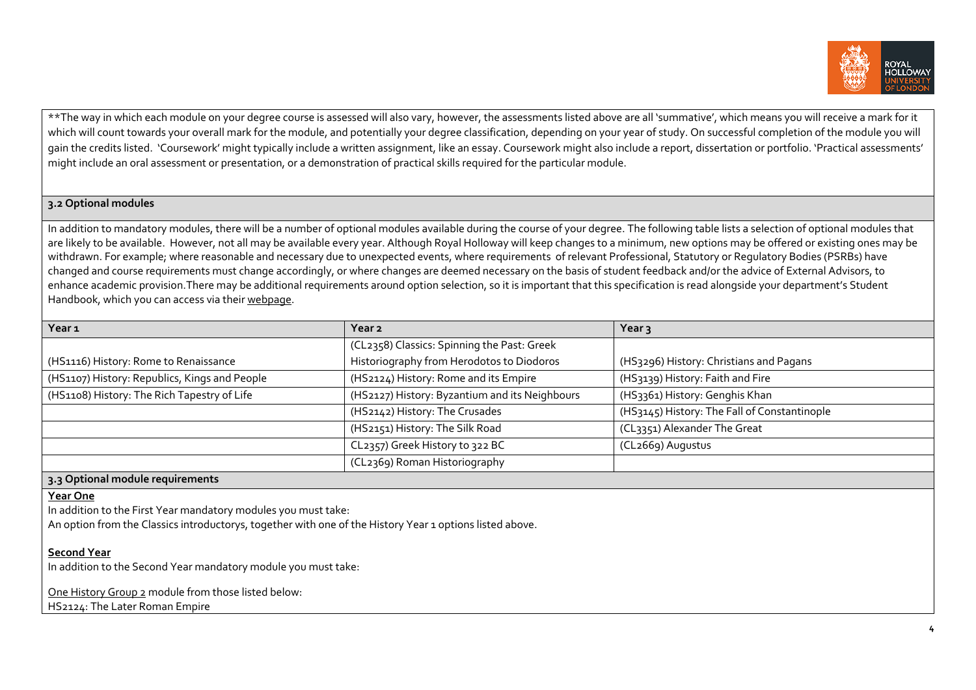

\*\*The way in which each module on your degree course is assessed will also vary, however, the assessments listed above are all 'summative', which means you will receive <sup>a</sup> mark for it which will count towards your overall mark for the module, and potentially your degree classification, depending on your year of study. On successful completion of the module you will gain the credits listed. 'Coursework' might typically include <sup>a</sup> written assignment, like an essay. Coursework might also include <sup>a</sup> report, dissertation or portfolio. 'Practical assessments' might include an oral assessment or presentation, or <sup>a</sup> demonstration of practical skills required for the particular module.

## **3.2 Optional modules**

In addition to mandatory modules, there will be a number of optional modules available during the course of your degree. The following table lists a selection of optional modules that are likely to be available. However, not all may be available every year. Although Royal Holloway will keep changes to a minimum, new options may be offered or existing ones may be withdrawn. For example; where reasonable and necessary due to unexpected events, where requirements of relevant Professional, Statutory or Regulatory Bodies (PSRBs) have changed and course requirements must change accordingly, or where changes are deemed necessary on the basis of student feedback and/or the advice of External Advisors, to enhance academic provision.There may be additional requirements around option selection, so it is important that this specification is read alongside your department's Student Handbook, which you can access via their webpage.

| Year <sub>1</sub>                              | Year 2                                         | Year <sub>3</sub>                            |  |
|------------------------------------------------|------------------------------------------------|----------------------------------------------|--|
|                                                | (CL2358) Classics: Spinning the Past: Greek    |                                              |  |
| (HS1116) History: Rome to Renaissance          | Historiography from Herodotos to Diodoros      | (HS3296) History: Christians and Pagans      |  |
| (HS1107) History: Republics, Kings and People  | (HS2124) History: Rome and its Empire          | (HS3139) History: Faith and Fire             |  |
| (HS1108) History: The Rich Tapestry of Life    | (HS2127) History: Byzantium and its Neighbours | (HS3361) History: Genghis Khan               |  |
|                                                | (HS2142) History: The Crusades                 | (HS3145) History: The Fall of Constantinople |  |
|                                                | (HS2151) History: The Silk Road                | (CL3351) Alexander The Great                 |  |
|                                                | CL2357) Greek History to 322 BC                | (CL2669) Augustus                            |  |
|                                                | (CL2369) Roman Historiography                  |                                              |  |
| $\sim$ On the set has a duly as welcome set of |                                                |                                              |  |

## **3.3 Optional module requirements**

### **Year One**

In addition to the First Year mandatory modules you must take:

An option from the Classics introductorys, together with one of the History Year <sup>1</sup> options listed above.

## **Second Year**

In addition to the Second Year mandatory module you must take:

One History Group 2 module from those listed below:

HS2124: The Later Roman Empire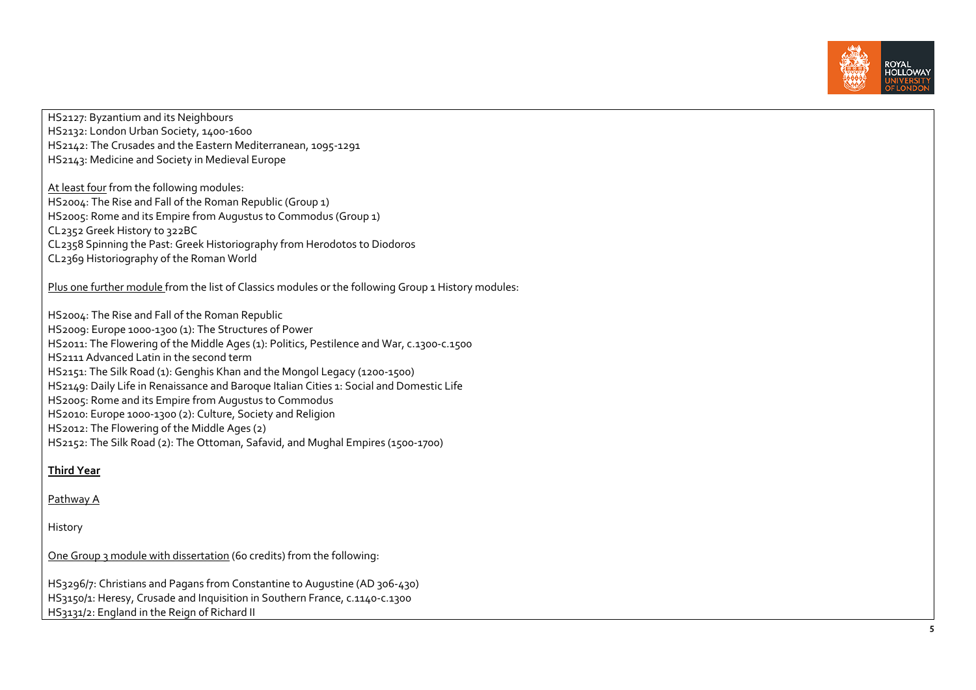

HS2127: Byzantium and its Neighbours HS2132: London Urban Society, 1400‐1600 HS2142: The Crusades and the Eastern Mediterranean, 1095‐1291 HS2143: Medicine and Society in Medieval Europe At least four from the following modules: HS2004: The Rise and Fall of the Roman Republic (Group 1) HS2005: Rome and its Empire from Augustus to Commodus (Group 1) CL2352 Greek History to 322BC CL2358 Spinning the Past: Greek Historiography from Herodotos to Diodoros CL2369 Historiography of the Roman World Plus one further module from the list of Classics modules or the following Group <sup>1</sup> History modules: HS2004: The Rise and Fall of the Roman Republic HS2009: Europe <sup>1000</sup>‐1300 (1): The Structures of Power HS2011: The Flowering of the Middle Ages (1): Politics, Pestilence and War, c.1300‐c.1500 HS2111 Advanced Latin in the second term HS2151: The Silk Road (1): Genghis Khan and the Mongol Legacy (1200‐1500) HS2149: Daily Life in Renaissance and Baroque Italian Cities 1: Social and Domestic Life HS2005: Rome and its Empire from Augustus to Commodus HS2010: Europe <sup>1000</sup>‐1300 (2): Culture, Society and Religion HS2012: The Flowering of the Middle Ages (2) HS2152: The Silk Road (2): The Ottoman, Safavid, and Mughal Empires (1500‐1700) **Third Year** Pathway <sup>A</sup> History

One Group 3 module with dissertation (60 credits) from the following:

HS3296/7: Christians and Pagans from Constantine to Augustine (AD 306‐430) HS3150/1: Heresy, Crusade and Inquisition in Southern France, c.1140‐c.1300 HS3131/2: England in the Reign of Richard II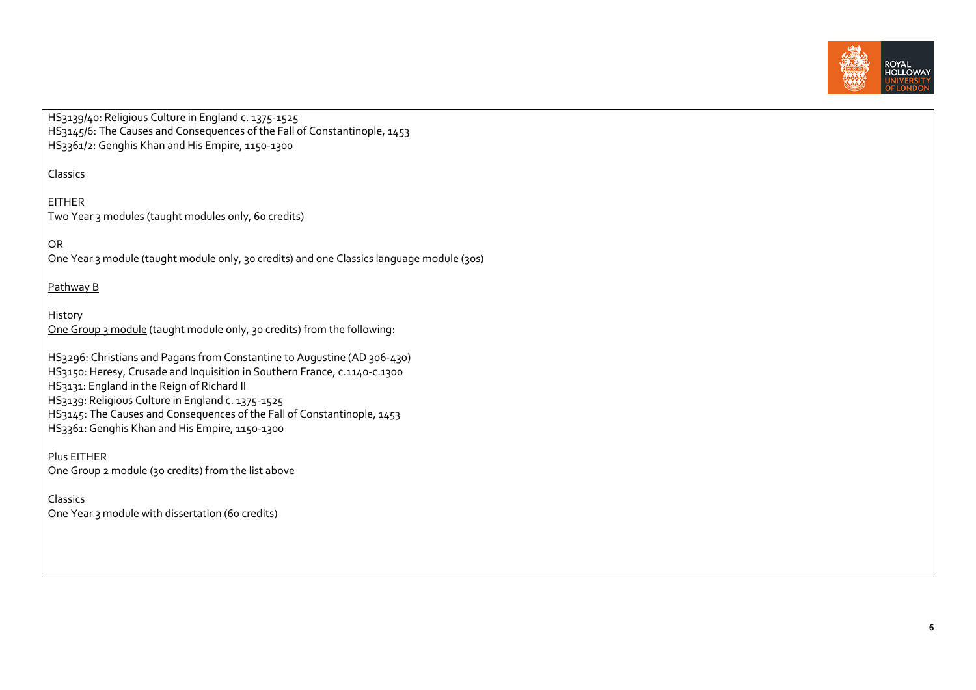

HS3139/40: Religious Culture in England c. 1375‐1525 HS3145/6: The Causes and Consequences of the Fall of Constantinople, 1453 HS3361/2: Genghis Khan and His Empire, 1150‐1300

Classics

## EITHER Two Year 3 modules (taught modules only, 60 credits)

<u>OR</u>

One Year 3 module (taught module only, 30 credits) and one Classics language module (30s)

## Pathway <sup>B</sup>

History One Group 3 module (taught module only, 30 credits) from the following:

HS3296: Christians and Pagans from Constantine to Augustine (AD 306‐430) HS3150: Heresy, Crusade and Inquisition in Southern France, c.1140‐c.1300 HS3131: England in the Reign of Richard II HS3139: Religious Culture in England c. 1375‐1525 HS3145: The Causes and Consequences of the Fall of Constantinople, 1453 HS3361: Genghis Khan and His Empire, 1150‐1300

Plus EITHER One Group <sup>2</sup> module (30 credits) from the list above

Classics One Year 3 module with dissertation (60 credits)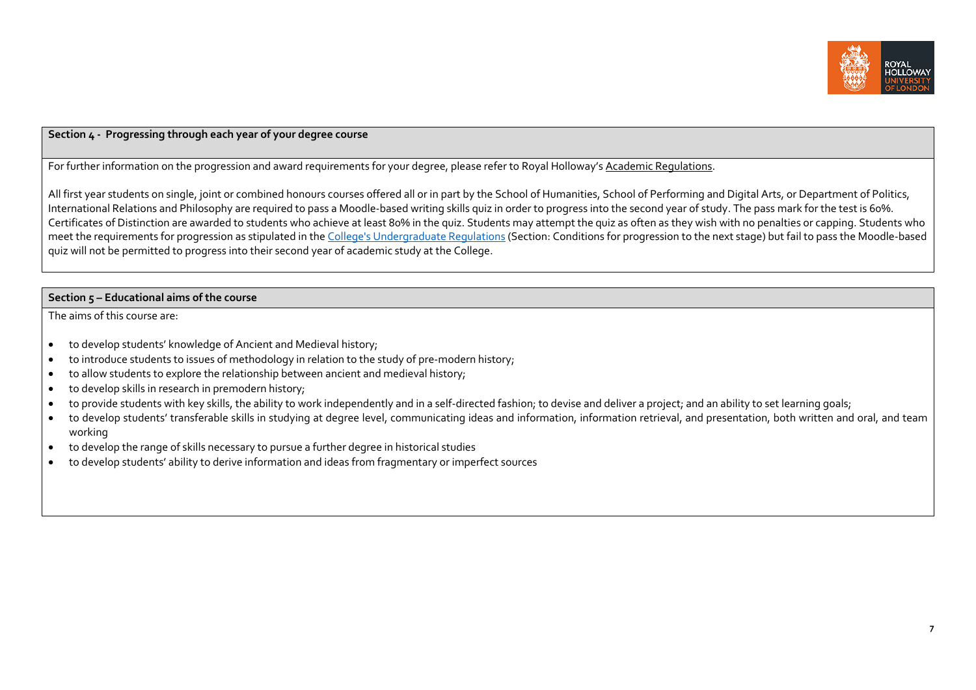

### **Section <sup>4</sup> ‐ Progressing through each year of your degree course**

For further information on the progression and award requirements for your degree, please refer to Royal Holloway's <u>Academic Regulations</u>.

All first year students on single, joint or combined honours courses offered all or in par<sup>t</sup> by the School of Humanities, School of Performing and Digital Arts, or Department of Politics, International Relations and Philosophy are required to pass <sup>a</sup> Moodle‐based writing skills quiz in order to progress into the second year of study. The pass mark for the test is 60%. Certificates of Distinction are awarded to students who achieve at least 80% in the quiz. Students may attempt the quiz as often as they wish with no penalties or capping. Students who meet the requirements for progression as stipulated in the <u>College's Undergraduate Regulations</u> (Section: Conditions for progression to the next stage) but fail to pass the Moodle‐based quiz will not be permitted to progress into their second year of academic study at the College.

### **Section 5 – Educational aims of the course**

The aims of this course are:

- $\bullet$ • to develop students' knowledge of Ancient and Medieval history;
- c • to introduce students to issues of methodology in relation to the study of pre-modern history;
- $\bullet$ to allow students to explore the relationship between ancient and medieval history;
- $\bullet$ to develop skills in research in premodern history;
- $\bullet$ ● to provide students with key skills, the ability to work independently and in a self-directed fashion; to devise and deliver a project; and an ability to set learning goals;
- $\bullet$  to develop students' transferable skills in studying at degree level, communicating ideas and information, information retrieval, and presentation, both written and oral, and team working
- $\bullet$ to develop the range of skills necessary to pursue <sup>a</sup> further degree in historical studies
- ٠ to develop students' ability to derive information and ideas from fragmentary or imperfect sources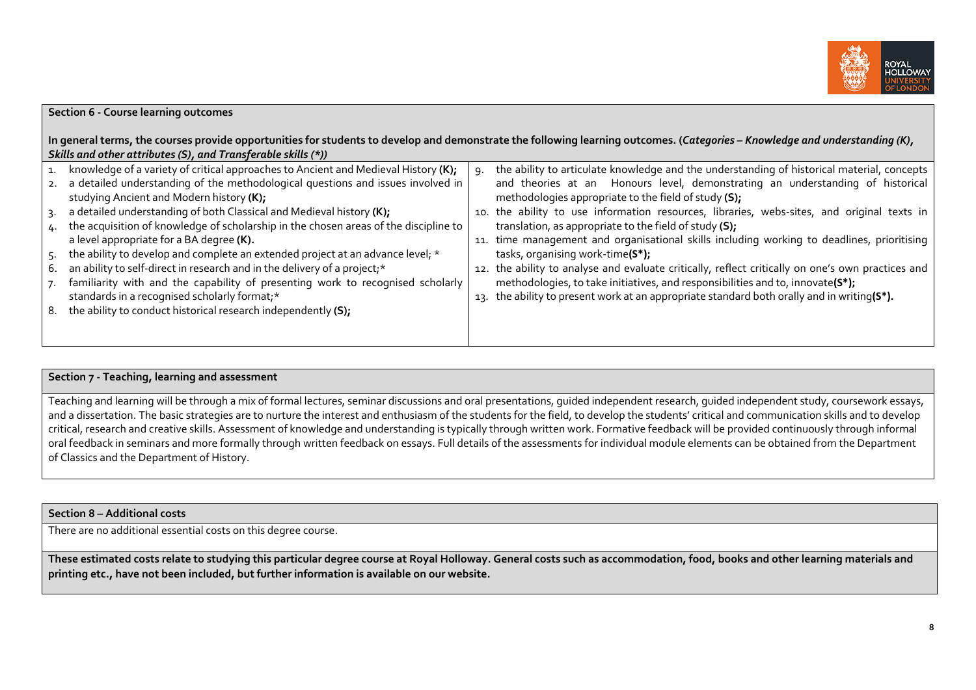

| <b>Section 6 - Course learning outcomes</b> |                                                                                                                                |    |                                                                                                                                                                             |  |  |
|---------------------------------------------|--------------------------------------------------------------------------------------------------------------------------------|----|-----------------------------------------------------------------------------------------------------------------------------------------------------------------------------|--|--|
|                                             | Skills and other attributes (S), and Transferable skills (*))                                                                  |    | In general terms, the courses provide opportunities for students to develop and demonstrate the following learning outcomes. (Categories - Knowledge and understanding (K), |  |  |
|                                             | 1. knowledge of a variety of critical approaches to Ancient and Medieval History (K);                                          | 9. | the ability to articulate knowledge and the understanding of historical material, concepts                                                                                  |  |  |
|                                             | 2. a detailed understanding of the methodological questions and issues involved in<br>studying Ancient and Modern history (K); |    | and theories at an Honours level, demonstrating an understanding of historical<br>methodologies appropriate to the field of study (S);                                      |  |  |
|                                             | 3. a detailed understanding of both Classical and Medieval history (K);                                                        |    | 10. the ability to use information resources, libraries, webs-sites, and original texts in                                                                                  |  |  |
|                                             | 4. the acquisition of knowledge of scholarship in the chosen areas of the discipline to                                        |    | translation, as appropriate to the field of study (S);                                                                                                                      |  |  |
|                                             | a level appropriate for a BA degree (K).                                                                                       |    | 11. time management and organisational skills including working to deadlines, prioritising                                                                                  |  |  |
|                                             | 5. the ability to develop and complete an extended project at an advance level; *                                              |    | tasks, organising work-time(S*);                                                                                                                                            |  |  |
|                                             | 6. an ability to self-direct in research and in the delivery of a project;*                                                    |    | 12. the ability to analyse and evaluate critically, reflect critically on one's own practices and                                                                           |  |  |
|                                             | 7. familiarity with and the capability of presenting work to recognised scholarly                                              |    | methodologies, to take initiatives, and responsibilities and to, innovate(S*);                                                                                              |  |  |
|                                             | standards in a recognised scholarly format;*                                                                                   |    | 13. the ability to present work at an appropriate standard both orally and in writing(S*).                                                                                  |  |  |
|                                             | 8. the ability to conduct historical research independently (S);                                                               |    |                                                                                                                                                                             |  |  |
|                                             |                                                                                                                                |    |                                                                                                                                                                             |  |  |
|                                             |                                                                                                                                |    |                                                                                                                                                                             |  |  |

### **Section <sup>7</sup> ‐ Teaching, learning and assessment**

Teaching and learning will be through a mix of formal lectures, seminar discussions and oral presentations, quided independent research, quided independent study, coursework essays, and a dissertation. The basic strategies are to nurture the interest and enthusiasm of the students for the field, to develop the students' critical and communication skills and to develop critical, research and creative skills. Assessment of knowledge and understanding is typically through written work. Formative feedback will be provided continuously through informal oral feedback in seminars and more formally through written feedback on essays. Full details of the assessments for individual module elements can be obtained from the Department of Classics and the Department of History.

### **Section 8 – Additional costs**

There are no additional essential costs on this degree course.

These estimated costs relate to studying this particular degree course at Royal Holloway. General costs such as accommodation, food, books and other learning materials and **printing etc., have not been included, but further information is available on our website.**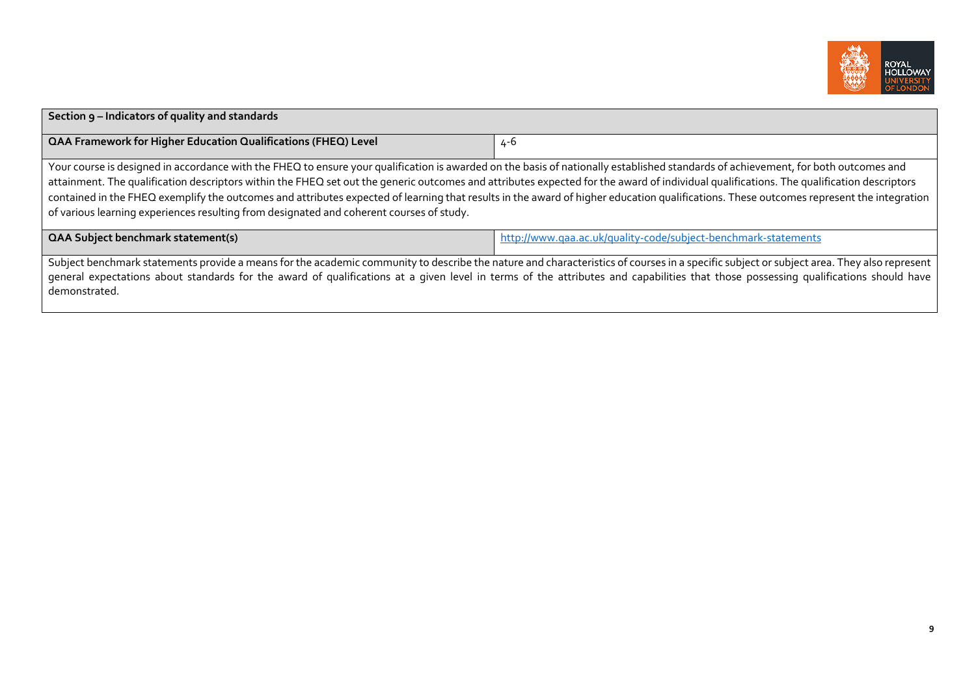

| Section 9 – Indicators of quality and standards                                                                                                                                                                                                                                                                                                                                                                                                                                                                                                                                                                                                                       |                                                                |  |  |  |
|-----------------------------------------------------------------------------------------------------------------------------------------------------------------------------------------------------------------------------------------------------------------------------------------------------------------------------------------------------------------------------------------------------------------------------------------------------------------------------------------------------------------------------------------------------------------------------------------------------------------------------------------------------------------------|----------------------------------------------------------------|--|--|--|
| <b>QAA Framework for Higher Education Qualifications (FHEQ) Level</b>                                                                                                                                                                                                                                                                                                                                                                                                                                                                                                                                                                                                 | 4-6                                                            |  |  |  |
| Your course is designed in accordance with the FHEQ to ensure your qualification is awarded on the basis of nationally established standards of achievement, for both outcomes and<br>attainment. The qualification descriptors within the FHEQ set out the generic outcomes and attributes expected for the award of individual qualifications. The qualification descriptors<br>contained in the FHEQ exemplify the outcomes and attributes expected of learning that results in the award of higher education qualifications. These outcomes represent the integration<br>of various learning experiences resulting from designated and coherent courses of study. |                                                                |  |  |  |
| <b>QAA Subject benchmark statement(s)</b>                                                                                                                                                                                                                                                                                                                                                                                                                                                                                                                                                                                                                             | http://www.qaa.ac.uk/quality-code/subject-benchmark-statements |  |  |  |
| Subject benchmark statements provide a means for the academic community to describe the nature and characteristics of courses in a specific subject or subject area. They also represent<br>general expectations about standards for the award of qualifications at a given level in terms of the attributes and capabilities that those possessing qualifications should have<br>demonstrated.                                                                                                                                                                                                                                                                       |                                                                |  |  |  |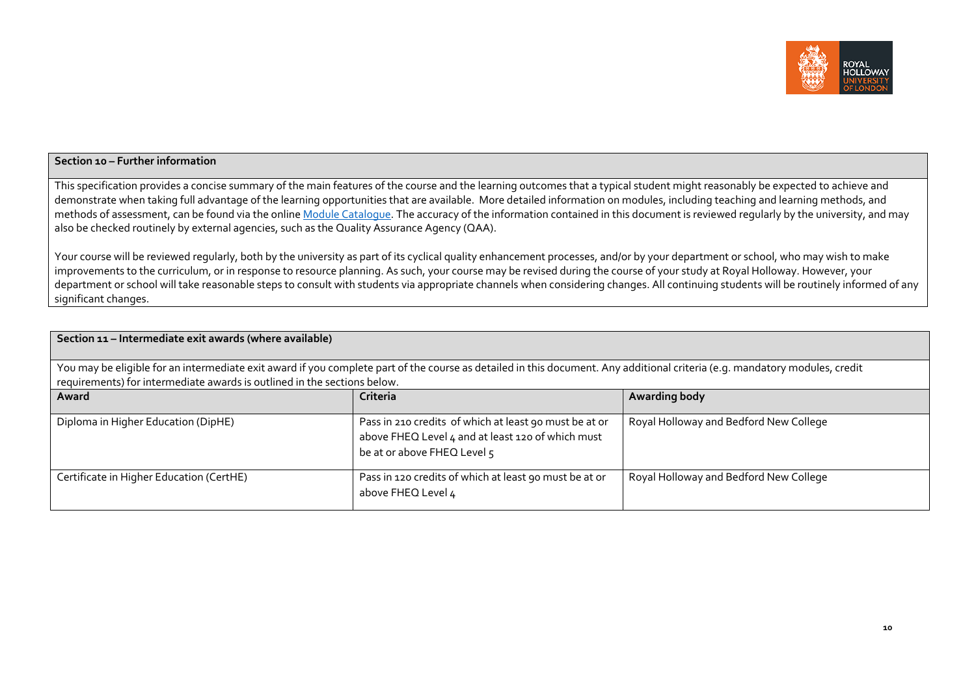

#### **Section <sup>10</sup> – Further information**

This specification provides <sup>a</sup> concise summary of the main features of the course and the learning outcomes that <sup>a</sup> typical student might reasonably be expected to achieve and demonstrate when taking full advantage of the learning opportunities that are available. More detailed information on modules, including teaching and learning methods, and methods of assessment, can be found via the online <u>Module Catalogue</u>. The accuracy of the information contained in this document is reviewed regularly by the university, and may also be checked routinely by external agencies, such as the Quality Assurance Agency (QAA).

Your course will be reviewed regularly, both by the university as par<sup>t</sup> of its cyclical quality enhancement processes, and/or by your department or school, who may wish to make improvements to the curriculum, or in response to resource planning. As such, your course may be revised during the course of your study at Royal Holloway. However, your department or school will take reasonable steps to consult with students via appropriate channels when considering changes. All continuing students will be routinely informed of any significant changes.

| Section 11 - Intermediate exit awards (where available)                                                                                                                                                                                                 |                                                                                                                                            |                                        |  |  |  |  |
|---------------------------------------------------------------------------------------------------------------------------------------------------------------------------------------------------------------------------------------------------------|--------------------------------------------------------------------------------------------------------------------------------------------|----------------------------------------|--|--|--|--|
| You may be eligible for an intermediate exit award if you complete part of the course as detailed in this document. Any additional criteria (e.g. mandatory modules, credit<br>requirements) for intermediate awards is outlined in the sections below. |                                                                                                                                            |                                        |  |  |  |  |
| Award                                                                                                                                                                                                                                                   | Criteria                                                                                                                                   | Awarding body                          |  |  |  |  |
| Diploma in Higher Education (DipHE)                                                                                                                                                                                                                     | Pass in 210 credits of which at least 90 must be at or<br>above FHEQ Level 4 and at least 120 of which must<br>be at or above FHEQ Level 5 | Royal Holloway and Bedford New College |  |  |  |  |
| Certificate in Higher Education (CertHE)                                                                                                                                                                                                                | Pass in 120 credits of which at least 90 must be at or<br>above FHEQ Level 4                                                               | Royal Holloway and Bedford New College |  |  |  |  |